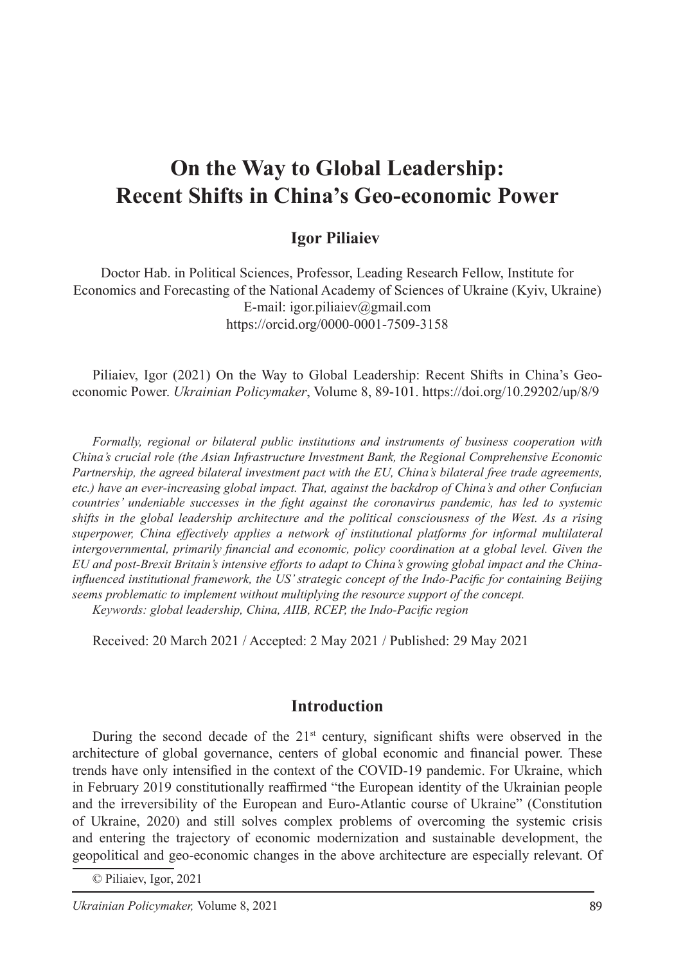# **On the Way to Global Leadership: Recent Shifts in China's Geo-economic Power**

### **Igor Piliaiev**

Doctor Hab. in Political Sciences, Professor, Leading Research Fellow, Institute for Economics and Forecasting of the National Academy of Sciences of Ukraine (Kyiv, Ukraine) E-mail: igor.piliaiev@gmail.com https://orcid.org/0000-0001-7509-3158

Piliaiev, Igor (2021) On the Way to Global Leadership: Recent Shifts in China's Geoeconomic Power. *Ukrainian Policymaker*, Volume 8, 89-101. https://doi.org/10.29202/up/8/9

*Formally, regional or bilateral public institutions and instruments of business cooperation with China's crucial role (the Asian Infrastructure Investment Bank, the Regional Comprehensive Economic Partnership, the agreed bilateral investment pact with the EU, China's bilateral free trade agreements, etc.) have an ever-increasing global impact. That, against the backdrop of China's and other Confucian countries' undeniable successes in the fight against the coronavirus pandemic, has led to systemic shifts in the global leadership architecture and the political consciousness of the West. As a rising superpower, China effectively applies a network of institutional platforms for informal multilateral intergovernmental, primarily financial and economic, policy coordination at a global level. Given the EU and post-Brexit Britain's intensive efforts to adapt to China's growing global impact and the Chinainfluenced institutional framework, the US' strategic concept of the Indo-Pacific for containing Beijing seems problematic to implement without multiplying the resource support of the concept. Keywords: global leadership, China, AIIB, RCEP, the Indo-Pacific region*

Received: 20 March 2021 / Accepted: 2 May 2021 / Published: 29 May 2021

#### **Introduction**

During the second decade of the  $21<sup>st</sup>$  century, significant shifts were observed in the architecture of global governance, centers of global economic and financial power. These trends have only intensified in the context of the COVID-19 pandemic. For Ukraine, which in February 2019 constitutionally reaffirmed "the European identity of the Ukrainian people and the irreversibility of the European and Euro-Atlantic course of Ukraine" (Constitution of Ukraine, 2020) and still solves complex problems of overcoming the systemic crisis and entering the trajectory of economic modernization and sustainable development, the geopolitical and geo-economic changes in the above architecture are especially relevant. Of

© Piliaiev, Igor, 2021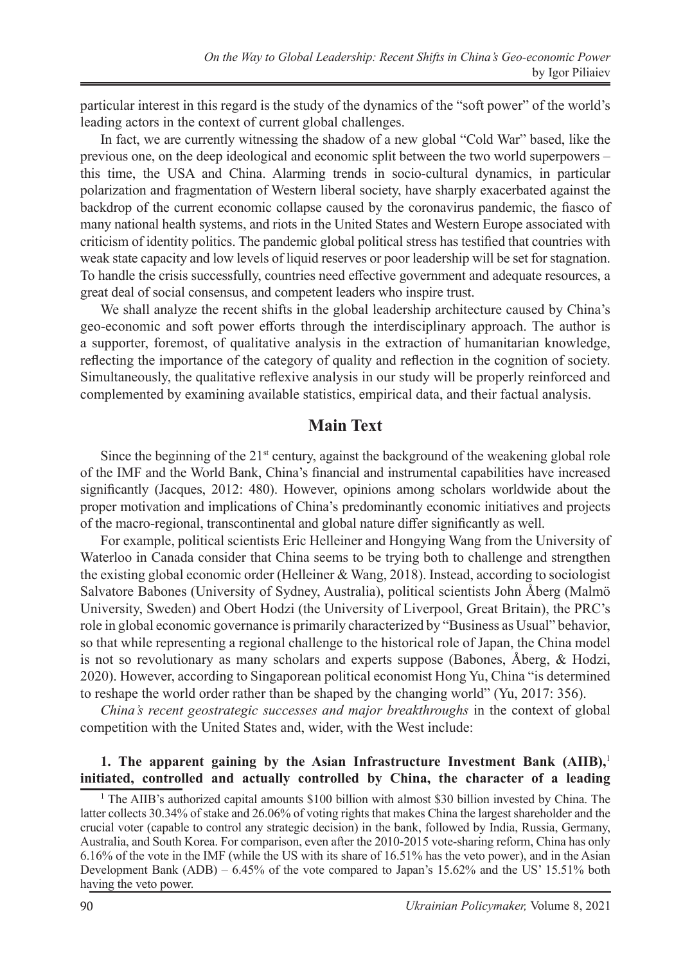particular interest in this regard is the study of the dynamics of the "soft power" of the world's leading actors in the context of current global challenges.

In fact, we are currently witnessing the shadow of a new global "Cold War" based, like the previous one, on the deep ideological and economic split between the two world superpowers – this time, the USA and China. Alarming trends in socio-cultural dynamics, in particular polarization and fragmentation of Western liberal society, have sharply exacerbated against the backdrop of the current economic collapse caused by the coronavirus pandemic, the fiasco of many national health systems, and riots in the United States and Western Europe associated with criticism of identity politics. The pandemic global political stress has testified that countries with weak state capacity and low levels of liquid reserves or poor leadership will be set for stagnation. To handle the crisis successfully, countries need effective government and adequate resources, a great deal of social consensus, and competent leaders who inspire trust.

We shall analyze the recent shifts in the global leadership architecture caused by China's geo-economic and soft power efforts through the interdisciplinary approach. The author is a supporter, foremost, of qualitative analysis in the extraction of humanitarian knowledge, reflecting the importance of the category of quality and reflection in the cognition of society. Simultaneously, the qualitative reflexive analysis in our study will be properly reinforced and complemented by examining available statistics, empirical data, and their factual analysis.

### **Main Text**

Since the beginning of the  $21<sup>st</sup>$  century, against the background of the weakening global role of the IMF and the World Bank, China's financial and instrumental capabilities have increased significantly (Jacques, 2012: 480). However, opinions among scholars worldwide about the proper motivation and implications of China's predominantly economic initiatives and projects of the macro-regional, transcontinental and global nature differ significantly as well.

For example, political scientists Eric Helleiner and Hongying Wang from the University of Waterloo in Canada consider that China seems to be trying both to challenge and strengthen the existing global economic order (Helleiner & Wang, 2018). Instead, according to sociologist Salvatore Babones (University of Sydney, Australia), political scientists John Åberg (Malmö University, Sweden) and Obert Hodzi (the University of Liverpool, Great Britain), the PRC's role in global economic governance is primarily characterized by "Business as Usual" behavior, so that while representing a regional challenge to the historical role of Japan, the China model is not so revolutionary as many scholars and experts suppose (Babones, Åberg, & Hodzi, 2020). However, according to Singaporean political economist Hong Yu, China "is determined to reshape the world order rather than be shaped by the changing world" (Yu, 2017: 356).

*China's recent geostrategic successes and major breakthroughs* in the context of global competition with the United States and, wider, with the West include:

#### **1.** The apparent gaining by the Asian Infrastructure Investment Bank (AIIB),<sup>1</sup> **initiated, controlled and actually controlled by China, the character of a leading**

<sup>&</sup>lt;sup>1</sup> The AIIB's authorized capital amounts \$100 billion with almost \$30 billion invested by China. The latter collects 30.34% of stake and 26.06% of voting rights that makes China the largest shareholder and the crucial voter (capable to control any strategic decision) in the bank, followed by India, Russia, Germany, Australia, and South Korea. For comparison, even after the 2010-2015 vote-sharing reform, China has only 6.16% of the vote in the IMF (while the US with its share of 16.51% has the veto power), and in the Asian Development Bank (ADB) – 6.45% of the vote compared to Japan's 15.62% and the US' 15.51% both having the veto power.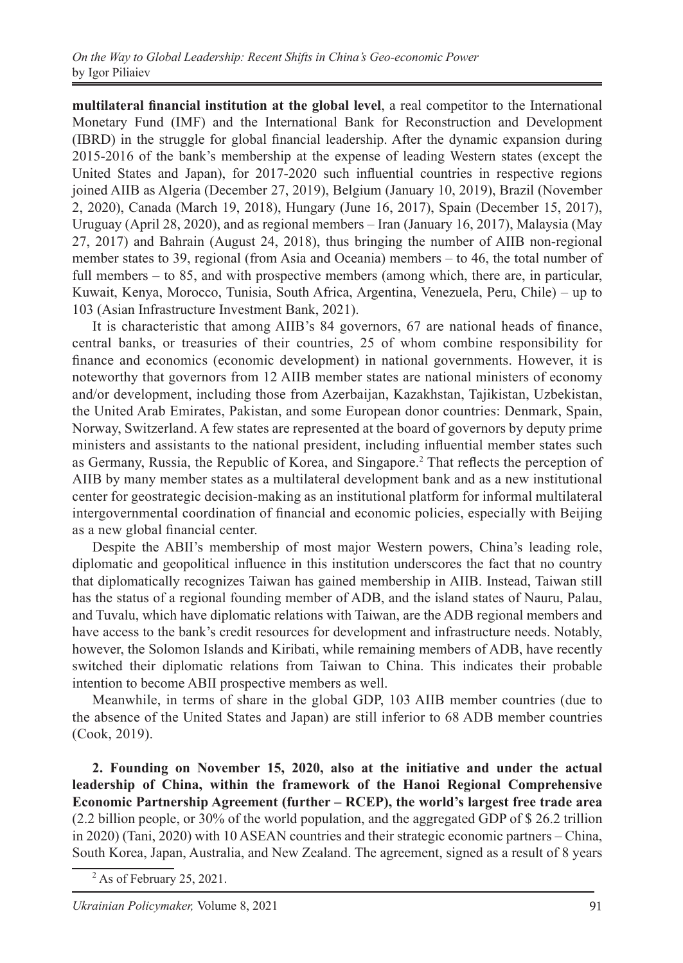**multilateral financial institution at the global level**, a real competitor to the International Monetary Fund (IMF) and the International Bank for Reconstruction and Development (IBRD) in the struggle for global financial leadership. After the dynamic expansion during 2015-2016 of the bank's membership at the expense of leading Western states (except the United States and Japan), for 2017-2020 such influential countries in respective regions joined AIIB as Algeria (December 27, 2019), Belgium (January 10, 2019), Brazil (November 2, 2020), Canada (March 19, 2018), Hungary (June 16, 2017), Spain (December 15, 2017), Uruguay (April 28, 2020), and as regional members – Iran (January 16, 2017), Malaysia (May 27, 2017) and Bahrain (August 24, 2018), thus bringing the number of AIIB non-regional member states to 39, regional (from Asia and Oceania) members – to 46, the total number of full members – to 85, and with prospective members (among which, there are, in particular, Kuwait, Kenya, Morocco, Tunisia, South Africa, Argentina, Venezuela, Peru, Chile) – up to 103 (Asian Infrastructure Investment Bank, 2021).

It is characteristic that among AIIB's 84 governors, 67 are national heads of finance, central banks, or treasuries of their countries, 25 of whom combine responsibility for finance and economics (economic development) in national governments. However, it is noteworthy that governors from 12 AIIB member states are national ministers of economy and/or development, including those from Azerbaijan, Kazakhstan, Tajikistan, Uzbekistan, the United Arab Emirates, Pakistan, and some European donor countries: Denmark, Spain, Norway, Switzerland. A few states are represented at the board of governors by deputy prime ministers and assistants to the national president, including influential member states such as Germany, Russia, the Republic of Korea, and Singapore.<sup>2</sup> That reflects the perception of AIIB by many member states as a multilateral development bank and as a new institutional center for geostrategic decision-making as an institutional platform for informal multilateral intergovernmental coordination of financial and economic policies, especially with Beijing as a new global financial center.

Despite the ABII's membership of most major Western powers, China's leading role, diplomatic and geopolitical influence in this institution underscores the fact that no country that diplomatically recognizes Taiwan has gained membership in AIIB. Instead, Taiwan still has the status of a regional founding member of ADB, and the island states of Nauru, Palau, and Tuvalu, which have diplomatic relations with Taiwan, are the ADB regional members and have access to the bank's credit resources for development and infrastructure needs. Notably, however, the Solomon Islands and Kiribati, while remaining members of ADB, have recently switched their diplomatic relations from Taiwan to China. This indicates their probable intention to become ABII prospective members as well.

Meanwhile, in terms of share in the global GDP, 103 AIIB member countries (due to the absence of the United States and Japan) are still inferior to 68 ADB member countries (Cook, 2019).

**2. Founding on November 15, 2020, also at the initiative and under the actual leadership of China, within the framework of the Hanoi Regional Comprehensive Economic Partnership Agreement (further – RCEP), the world's largest free trade area**  (2.2 billion people, or 30% of the world population, and the aggregated GDP of \$ 26.2 trillion in 2020) (Tani, 2020) with 10 ASEAN countries and their strategic economic partners – China, South Korea, Japan, Australia, and New Zealand. The agreement, signed as a result of 8 years

 $2$  As of February 25, 2021.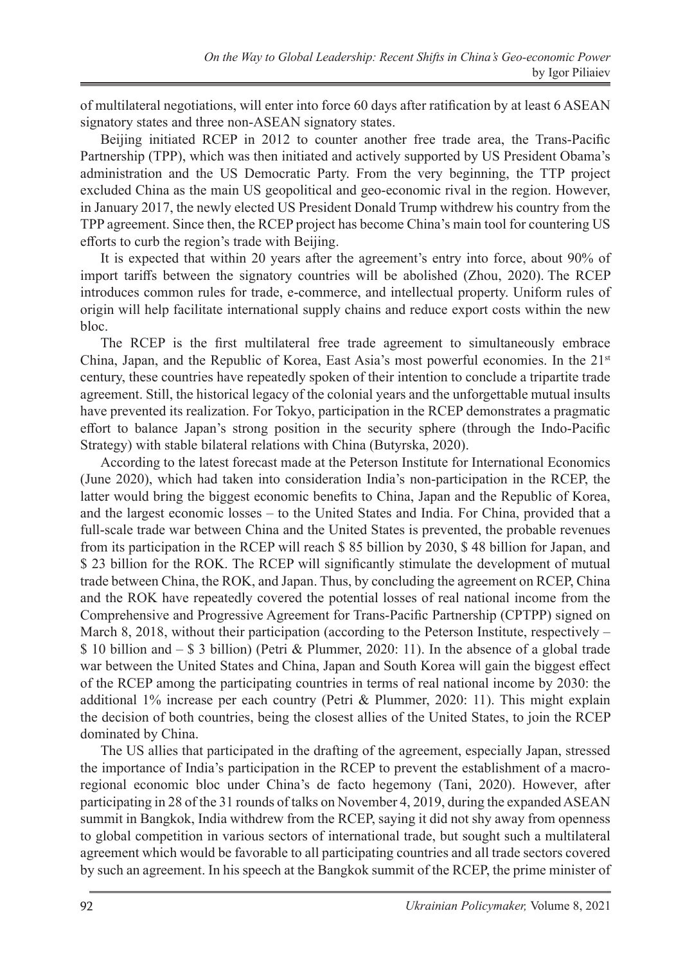of multilateral negotiations, will enter into force 60 days after ratification by at least 6 ASEAN signatory states and three non-ASEAN signatory states.

Beijing initiated RCEP in 2012 to counter another free trade area, the Trans-Pacific Partnership (TPP), which was then initiated and actively supported by US President Obama's administration and the US Democratic Party. From the very beginning, the TTP project excluded China as the main US geopolitical and geo-economic rival in the region. However, in January 2017, the newly elected US President Donald Trump withdrew his country from the TPP agreement. Since then, the RCEP project has become China's main tool for countering US efforts to curb the region's trade with Beijing.

It is expected that within 20 years after the agreement's entry into force, about 90% of import tariffs between the signatory countries will be abolished (Zhou, 2020). The RCEP introduces common rules for trade, e-commerce, and intellectual property. Uniform rules of origin will help facilitate international supply chains and reduce export costs within the new bloc.

The RCEP is the first multilateral free trade agreement to simultaneously embrace China, Japan, and the Republic of Korea, East Asia's most powerful economies. In the  $21<sup>st</sup>$ century, these countries have repeatedly spoken of their intention to conclude a tripartite trade agreement. Still, the historical legacy of the colonial years and the unforgettable mutual insults have prevented its realization. For Tokyo, participation in the RCEP demonstrates a pragmatic effort to balance Japan's strong position in the security sphere (through the Indo-Pacific Strategy) with stable bilateral relations with China (Butyrska, 2020).

According to the latest forecast made at the Peterson Institute for International Economics (June 2020), which had taken into consideration India's non-participation in the RCEP, the latter would bring the biggest economic benefits to China, Japan and the Republic of Korea, and the largest economic losses – to the United States and India. For China, provided that a full-scale trade war between China and the United States is prevented, the probable revenues from its participation in the RCEP will reach \$ 85 billion by 2030, \$ 48 billion for Japan, and \$ 23 billion for the ROK. The RCEP will significantly stimulate the development of mutual trade between China, the ROK, and Japan. Thus, by concluding the agreement on RCEP, China and the ROK have repeatedly covered the potential losses of real national income from the Comprehensive and Progressive Agreement for Trans-Pacific Partnership (CPTPP) signed on March 8, 2018, without their participation (according to the Peterson Institute, respectively  $$ 10$  billion and  $$ 3$  billion) (Petri & Plummer, 2020: 11). In the absence of a global trade war between the United States and China, Japan and South Korea will gain the biggest effect of the RCEP among the participating countries in terms of real national income by 2030: the additional 1% increase per each country (Petri & Plummer, 2020: 11). This might explain the decision of both countries, being the closest allies of the United States, to join the RCEP dominated by China.

The US allies that participated in the drafting of the agreement, especially Japan, stressed the importance of India's participation in the RCEP to prevent the establishment of a macroregional economic bloc under China's de facto hegemony (Tani, 2020). However, after participating in 28 of the 31 rounds of talks on November 4, 2019, during the expanded ASEAN summit in Bangkok, India withdrew from the RCEP, saying it did not shy away from openness to global competition in various sectors of international trade, but sought such a multilateral agreement which would be favorable to all participating countries and all trade sectors covered by such an agreement. In his speech at the Bangkok summit of the RCEP, the prime minister of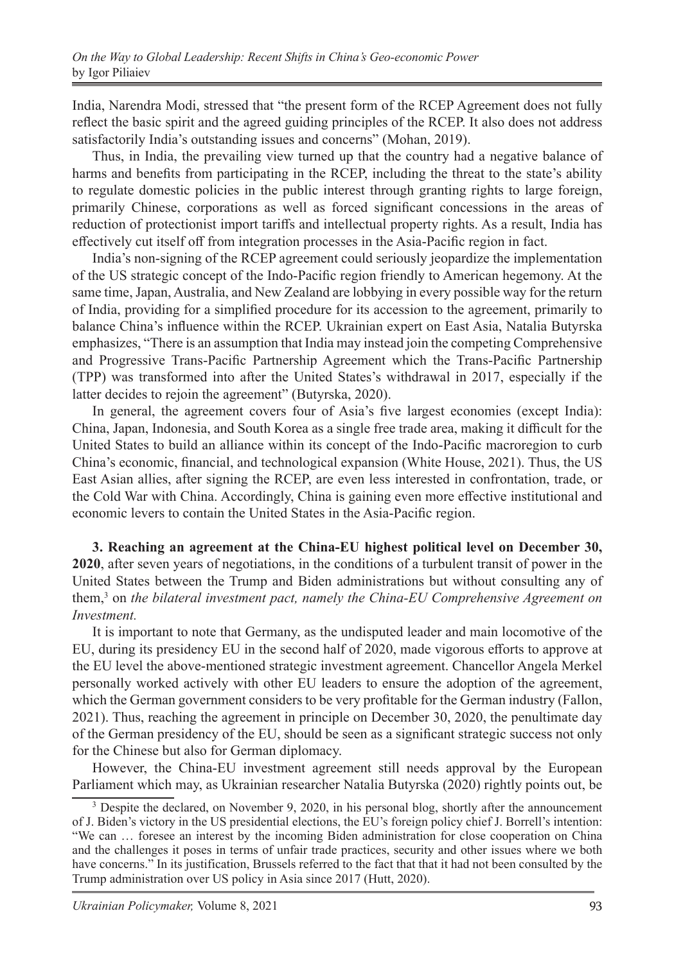India, Narendra Modi, stressed that "the present form of the RCEP Agreement does not fully reflect the basic spirit and the agreed guiding principles of the RCEP. It also does not address satisfactorily India's outstanding issues and concerns" (Mohan, 2019).

Thus, in India, the prevailing view turned up that the country had a negative balance of harms and benefits from participating in the RCEP, including the threat to the state's ability to regulate domestic policies in the public interest through granting rights to large foreign, primarily Chinese, corporations as well as forced significant concessions in the areas of reduction of protectionist import tariffs and intellectual property rights. As a result, India has effectively cut itself off from integration processes in the Asia-Pacific region in fact.

India's non-signing of the RCEP agreement could seriously jeopardize the implementation of the US strategic concept of the Indo-Pacific region friendly to American hegemony. At the same time, Japan, Australia, and New Zealand are lobbying in every possible way for the return of India, providing for a simplified procedure for its accession to the agreement, primarily to balance China's influence within the RCEP. Ukrainian expert on East Asia, Natalia Butyrska emphasizes, "There is an assumption that India may instead join the competing Comprehensive and Progressive Trans-Pacific Partnership Agreement which the Trans-Pacific Partnership (TPP) was transformed into after the United States's withdrawal in 2017, especially if the latter decides to rejoin the agreement" (Butyrska, 2020).

In general, the agreement covers four of Asia's five largest economies (except India): China, Japan, Indonesia, and South Korea as a single free trade area, making it difficult for the United States to build an alliance within its concept of the Indo-Pacific macroregion to curb China's economic, financial, and technological expansion (White House, 2021). Thus, the US East Asian allies, after signing the RCEP, are even less interested in confrontation, trade, or the Cold War with China. Accordingly, China is gaining even more effective institutional and economic levers to contain the United States in the Asia-Pacific region.

**3. Reaching an agreement at the China-EU highest political level on December 30, 2020**, after seven years of negotiations, in the conditions of a turbulent transit of power in the United States between the Trump and Biden administrations but without consulting any of them,<sup>3</sup> on *the bilateral investment pact, namely the China-EU Comprehensive Agreement on Investment.*

It is important to note that Germany, as the undisputed leader and main locomotive of the EU, during its presidency EU in the second half of 2020, made vigorous efforts to approve at the EU level the above-mentioned strategic investment agreement. Chancellor Angela Merkel personally worked actively with other EU leaders to ensure the adoption of the agreement, which the German government considers to be very profitable for the German industry (Fallon, 2021). Thus, reaching the agreement in principle on December 30, 2020, the penultimate day of the German presidency of the EU, should be seen as a significant strategic success not only for the Chinese but also for German diplomacy.

However, the China-EU investment agreement still needs approval by the European Parliament which may, as Ukrainian researcher Natalia Butyrska (2020) rightly points out, be

<sup>&</sup>lt;sup>3</sup> Despite the declared, on November 9, 2020, in his personal blog, shortly after the announcement of J. Biden's victory in the US presidential elections, the EU's foreign policy chief J. Borrell's intention: "We can … foresee an interest by the incoming Biden administration for close cooperation on China and the challenges it poses in terms of unfair trade practices, security and other issues where we both have concerns." In its justification, Brussels referred to the fact that that it had not been consulted by the Trump administration over US policy in Asia since 2017 (Hutt, 2020).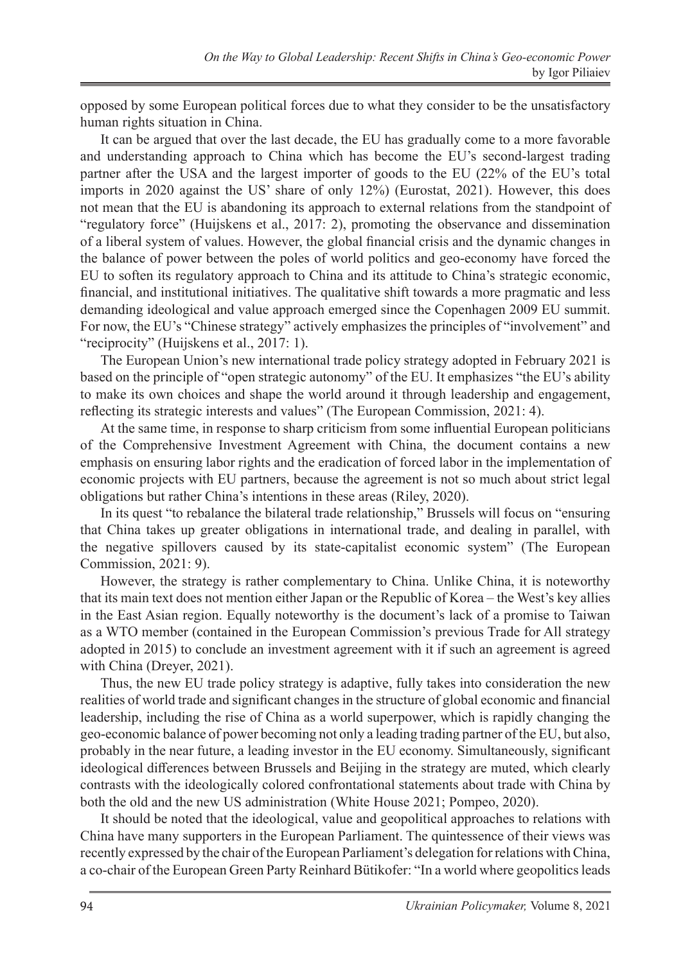opposed by some European political forces due to what they consider to be the unsatisfactory human rights situation in China.

It can be argued that over the last decade, the EU has gradually come to a more favorable and understanding approach to China which has become the EU's second-largest trading partner after the USA and the largest importer of goods to the EU (22% of the EU's total imports in 2020 against the US' share of only 12%) (Eurostat, 2021). However, this does not mean that the EU is abandoning its approach to external relations from the standpoint of "regulatory force" (Huijskens et al., 2017: 2), promoting the observance and dissemination of a liberal system of values. However, the global financial crisis and the dynamic changes in the balance of power between the poles of world politics and geo-economy have forced the EU to soften its regulatory approach to China and its attitude to China's strategic economic, financial, and institutional initiatives. The qualitative shift towards a more pragmatic and less demanding ideological and value approach emerged since the Copenhagen 2009 EU summit. For now, the EU's "Chinese strategy" actively emphasizes the principles of "involvement" and "reciprocity" (Huijskens et al., 2017: 1).

The European Union's new international trade policy strategy adopted in February 2021 is based on the principle of "open strategic autonomy" of the EU. It emphasizes "the EU's ability to make its own choices and shape the world around it through leadership and engagement, reflecting its strategic interests and values" (The European Commission, 2021: 4).

At the same time, in response to sharp criticism from some influential European politicians of the Comprehensive Investment Agreement with China, the document contains a new emphasis on ensuring labor rights and the eradication of forced labor in the implementation of economic projects with EU partners, because the agreement is not so much about strict legal obligations but rather China's intentions in these areas (Riley, 2020).

In its quest "to rebalance the bilateral trade relationship," Brussels will focus on "ensuring that China takes up greater obligations in international trade, and dealing in parallel, with the negative spillovers caused by its state-capitalist economic system" (The European Commission, 2021: 9).

However, the strategy is rather complementary to China. Unlike China, it is noteworthy that its main text does not mention either Japan or the Republic of Korea – the West's key allies in the East Asian region. Equally noteworthy is the document's lack of a promise to Taiwan as a WTO member (contained in the European Commission's previous Trade for All strategy adopted in 2015) to conclude an investment agreement with it if such an agreement is agreed with China (Dreyer, 2021).

Thus, the new EU trade policy strategy is adaptive, fully takes into consideration the new realities of world trade and significant changes in the structure of global economic and financial leadership, including the rise of China as a world superpower, which is rapidly changing the geo-economic balance of power becoming not only a leading trading partner of the EU, but also, probably in the near future, a leading investor in the EU economy. Simultaneously, significant ideological differences between Brussels and Beijing in the strategy are muted, which clearly contrasts with the ideologically colored confrontational statements about trade with China by both the old and the new US administration (White House 2021; Pompeo, 2020).

It should be noted that the ideological, value and geopolitical approaches to relations with China have many supporters in the European Parliament. The quintessence of their views was recently expressed by the chair of the European Parliament's delegation for relations with China, a co-chair of the European Green Party Reinhard Bütikofer: "In a world where geopolitics leads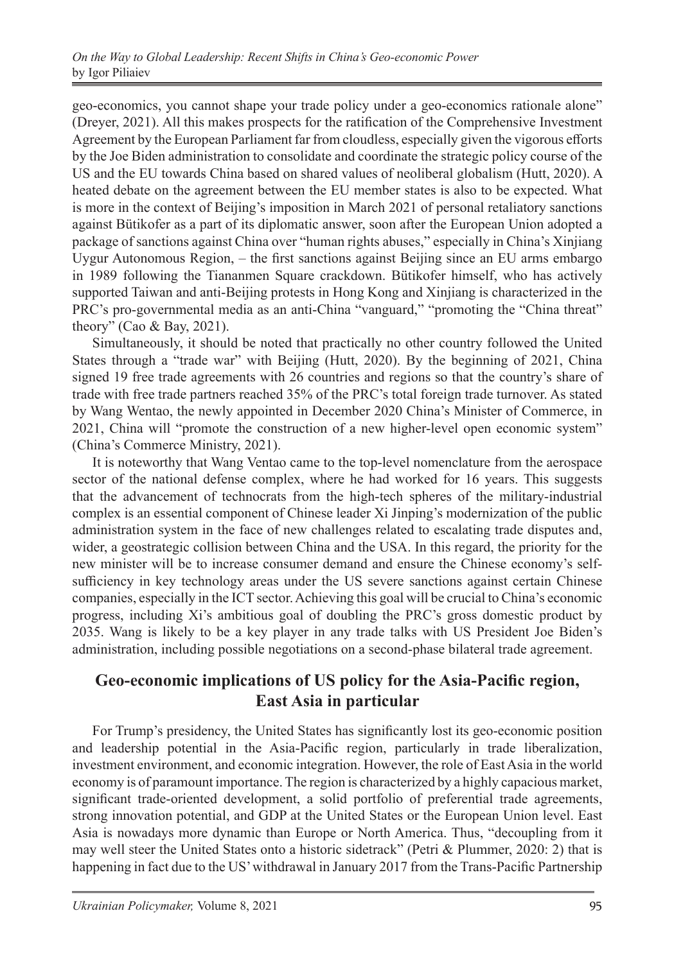geo-economics, you cannot shape your trade policy under a geo-economics rationale alone" (Dreyer, 2021). All this makes prospects for the ratification of the Comprehensive Investment Agreement by the European Parliament far from cloudless, especially given the vigorous efforts by the Joe Biden administration to consolidate and coordinate the strategic policy course of the US and the EU towards China based on shared values of neoliberal globalism (Hutt, 2020). A heated debate on the agreement between the EU member states is also to be expected. What is more in the context of Beijing's imposition in March 2021 of personal retaliatory sanctions against Bütikofer as a part of its diplomatic answer, soon after the European Union adopted a package of sanctions against China over "human rights abuses," especially in China's Xinjiang Uygur Autonomous Region, – the first sanctions against Beijing since an EU arms embargo in 1989 following the Tiananmen Square crackdown. Bütikofer himself, who has actively supported Taiwan and anti-Beijing protests in Hong Kong and Xinjiang is characterized in the PRC's pro-governmental media as an anti-China "vanguard," "promoting the "China threat" theory" (Cao & Bay, 2021).

Simultaneously, it should be noted that practically no other country followed the United States through a "trade war" with Beijing (Hutt, 2020). By the beginning of 2021, China signed 19 free trade agreements with 26 countries and regions so that the country's share of trade with free trade partners reached 35% of the PRC's total foreign trade turnover. As stated by Wang Wentao, the newly appointed in December 2020 China's Minister of Commerce, in 2021, China will "promote the construction of a new higher-level open economic system" (China's Commerce Ministry, 2021).

It is noteworthy that Wang Ventao came to the top-level nomenclature from the aerospace sector of the national defense complex, where he had worked for 16 years. This suggests that the advancement of technocrats from the high-tech spheres of the military-industrial complex is an essential component of Chinese leader Xi Jinping's modernization of the public administration system in the face of new challenges related to escalating trade disputes and, wider, a geostrategic collision between China and the USA. In this regard, the priority for the new minister will be to increase consumer demand and ensure the Chinese economy's selfsufficiency in key technology areas under the US severe sanctions against certain Chinese companies, especially in the ICT sector. Achieving this goal will be crucial to China's economic progress, including Xi's ambitious goal of doubling the PRC's gross domestic product by 2035. Wang is likely to be a key player in any trade talks with US President Joe Biden's administration, including possible negotiations on a second-phase bilateral trade agreement.

## **Geo-economic implications of US policy for the Asia-Pacific region, East Asia in particular**

For Trump's presidency, the United States has significantly lost its geo-economic position and leadership potential in the Asia-Pacific region, particularly in trade liberalization, investment environment, and economic integration. However, the role of East Asia in the world economy is of paramount importance. The region is characterized by a highly capacious market, significant trade-oriented development, a solid portfolio of preferential trade agreements, strong innovation potential, and GDP at the United States or the European Union level. East Asia is nowadays more dynamic than Europe or North America. Thus, "decoupling from it may well steer the United States onto a historic sidetrack" (Petri & Plummer, 2020: 2) that is happening in fact due to the US' withdrawal in January 2017 from the Trans-Pacific Partnership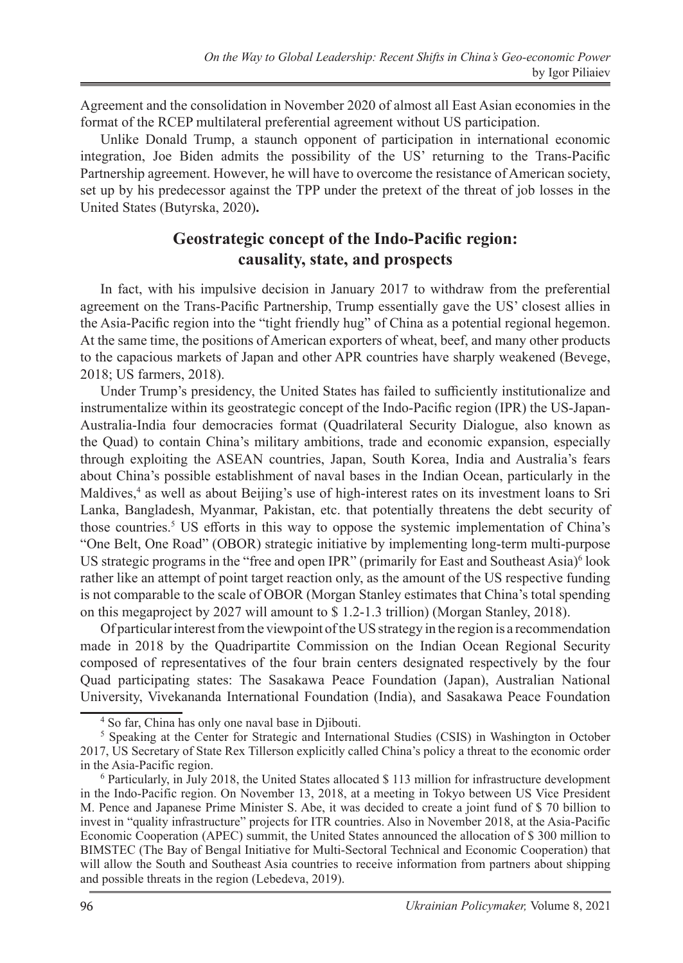Agreement and the consolidation in November 2020 of almost all East Asian economies in the format of the RCEP multilateral preferential agreement without US participation.

Unlike Donald Trump, a staunch opponent of participation in international economic integration, Joe Biden admits the possibility of the US' returning to the Trans-Pacific Partnership agreement. However, he will have to overcome the resistance of American society, set up by his predecessor against the TPP under the pretext of the threat of job losses in the United States (Butyrska, 2020)**.**

## **Geostrategic concept of the Indo-Pacific region: causality, state, and prospects**

In fact, with his impulsive decision in January 2017 to withdraw from the preferential agreement on the Trans-Pacific Partnership, Trump essentially gave the US' closest allies in the Asia-Pacific region into the "tight friendly hug" of China as a potential regional hegemon. At the same time, the positions of American exporters of wheat, beef, and many other products to the capacious markets of Japan and other APR countries have sharply weakened (Bevege, 2018; US farmers, 2018).

Under Trump's presidency, the United States has failed to sufficiently institutionalize and instrumentalize within its geostrategic concept of the Indo-Pacific region (IPR) the US-Japan-Australia-India four democracies format (Quadrilateral Security Dialogue, also known as the Quad) to contain China's military ambitions, trade and economic expansion, especially through exploiting the ASEAN countries, Japan, South Korea, India and Australia's fears about China's possible establishment of naval bases in the Indian Ocean, particularly in the Maldives,<sup>4</sup> as well as about Beijing's use of high-interest rates on its investment loans to Sri Lanka, Bangladesh, Myanmar, Pakistan, etc. that potentially threatens the debt security of those countries.<sup>5</sup> US efforts in this way to oppose the systemic implementation of China's "One Belt, One Road" (OBOR) strategic initiative by implementing long-term multi-purpose US strategic programs in the "free and open IPR" (primarily for East and Southeast Asia)<sup>6</sup> look rather like an attempt of point target reaction only, as the amount of the US respective funding is not comparable to the scale of OBOR (Morgan Stanley estimates that China's total spending on this megaproject by 2027 will amount to \$ 1.2-1.3 trillion) (Morgan Stanley, 2018).

Of particular interest from the viewpoint of the US strategy in the region is a recommendation made in 2018 by the Quadripartite Commission on the Indian Ocean Regional Security composed of representatives of the four brain centers designated respectively by the four Quad participating states: The Sasakawa Peace Foundation (Japan), Australian National University, Vivekananda International Foundation (India), and Sasakawa Peace Foundation

<sup>4</sup> So far, China has only one naval base in Djibouti.

<sup>&</sup>lt;sup>5</sup> Speaking at the Center for Strategic and International Studies (CSIS) in Washington in October 2017, US Secretary of State Rex Tillerson explicitly called China's policy a threat to the economic order in the Asia-Pacific region.

<sup>6</sup> Particularly, in July 2018, the United States allocated \$ 113 million for infrastructure development in the Indo-Pacific region. On November 13, 2018, at a meeting in Tokyo between US Vice President M. Pence and Japanese Prime Minister S. Abe, it was decided to create a joint fund of \$ 70 billion to invest in "quality infrastructure" projects for ITR countries. Also in November 2018, at the Asia-Pacific Economic Cooperation (APEC) summit, the United States announced the allocation of \$ 300 million to BIMSTEC (The Bay of Bengal Initiative for Multi-Sectoral Technical and Economic Cooperation) that will allow the South and Southeast Asia countries to receive information from partners about shipping and possible threats in the region (Lebedeva, 2019).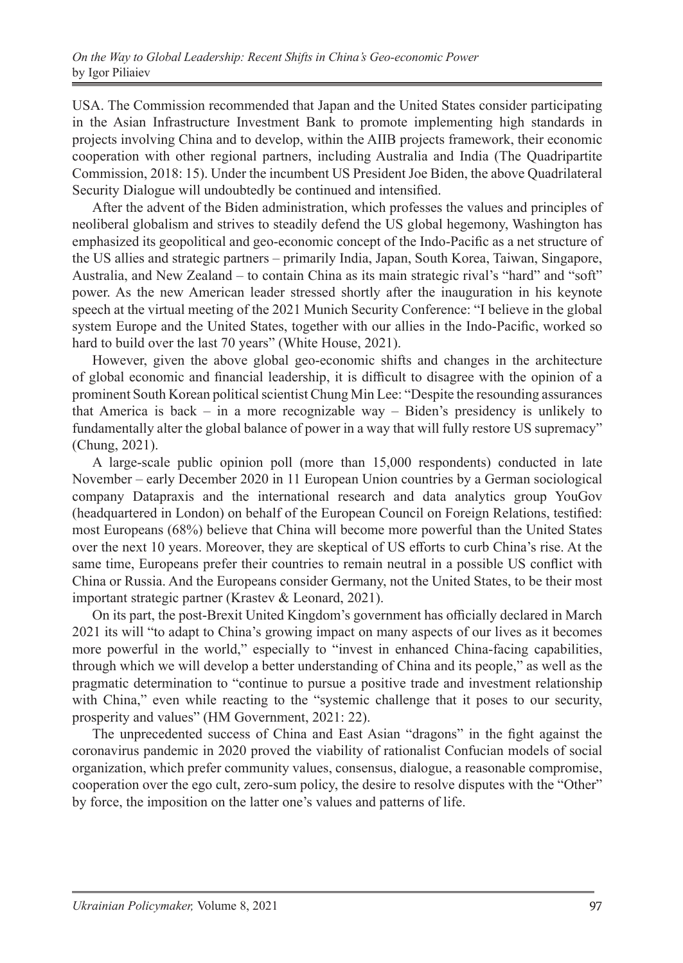USA. The Commission recommended that Japan and the United States consider participating in the Asian Infrastructure Investment Bank to promote implementing high standards in projects involving China and to develop, within the AIIB projects framework, their economic cooperation with other regional partners, including Australia and India (The Quadripartite Commission, 2018: 15). Under the incumbent US President Joe Biden, the above Quadrilateral Security Dialogue will undoubtedly be continued and intensified.

After the advent of the Biden administration, which professes the values and principles of neoliberal globalism and strives to steadily defend the US global hegemony, Washington has emphasized its geopolitical and geo-economic concept of the Indo-Pacific as a net structure of the US allies and strategic partners – primarily India, Japan, South Korea, Taiwan, Singapore, Australia, and New Zealand – to contain China as its main strategic rival's "hard" and "soft" power. As the new American leader stressed shortly after the inauguration in his keynote speech at the virtual meeting of the 2021 Munich Security Conference: "I believe in the global system Europe and the United States, together with our allies in the Indo-Pacific, worked so hard to build over the last 70 years" (White House, 2021).

However, given the above global geo-economic shifts and changes in the architecture of global economic and financial leadership, it is difficult to disagree with the opinion of a prominent South Korean political scientist Chung Min Lee: "Despite the resounding assurances that America is back – in a more recognizable way – Biden's presidency is unlikely to fundamentally alter the global balance of power in a way that will fully restore US supremacy" (Chung, 2021).

A large-scale public opinion poll (more than 15,000 respondents) conducted in late November – early December 2020 in 11 European Union countries by a German sociological company Datapraxis and the international research and data analytics group YouGov (headquartered in London) on behalf of the European Council on Foreign Relations, testified: most Europeans (68%) believe that China will become more powerful than the United States over the next 10 years. Moreover, they are skeptical of US efforts to curb China's rise. At the same time, Europeans prefer their countries to remain neutral in a possible US conflict with China or Russia. And the Europeans consider Germany, not the United States, to be their most important strategic partner (Krastev & Leonard, 2021).

On its part, the post-Brexit United Kingdom's government has officially declared in March 2021 its will "to adapt to China's growing impact on many aspects of our lives as it becomes more powerful in the world," especially to "invest in enhanced China-facing capabilities, through which we will develop a better understanding of China and its people," as well as the pragmatic determination to "continue to pursue a positive trade and investment relationship with China," even while reacting to the "systemic challenge that it poses to our security, prosperity and values" (HM Government, 2021: 22).

The unprecedented success of China and East Asian "dragons" in the fight against the coronavirus pandemic in 2020 proved the viability of rationalist Confucian models of social organization, which prefer community values, consensus, dialogue, a reasonable compromise, cooperation over the ego cult, zero-sum policy, the desire to resolve disputes with the "Other" by force, the imposition on the latter one's values and patterns of life.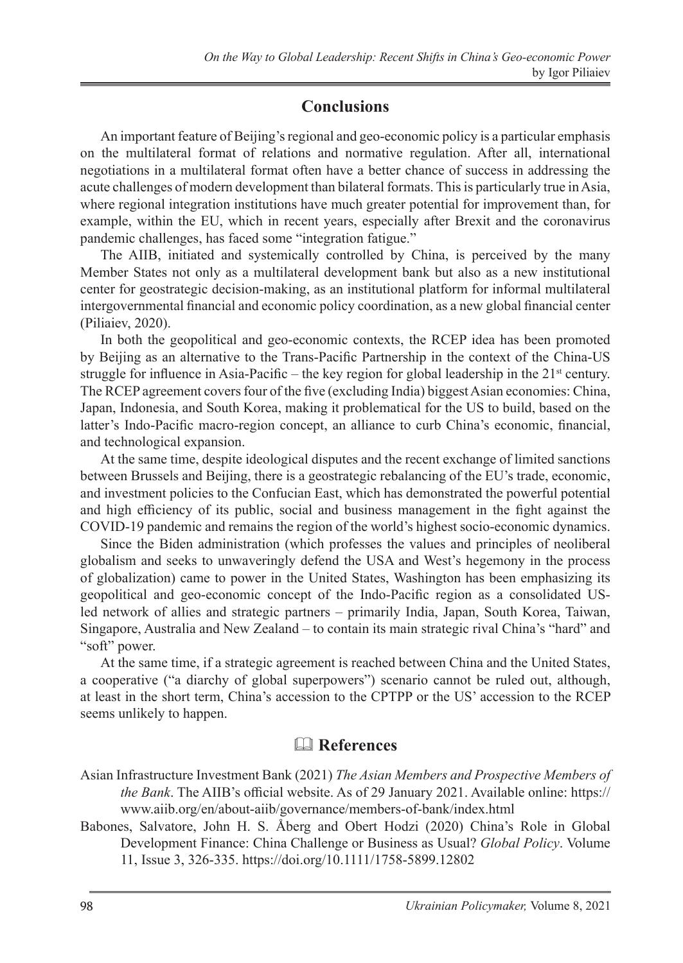## **Conclusions**

An important feature of Beijing's regional and geo-economic policy is a particular emphasis on the multilateral format of relations and normative regulation. After all, international negotiations in a multilateral format often have a better chance of success in addressing the acute challenges of modern development than bilateral formats. This is particularly true in Asia, where regional integration institutions have much greater potential for improvement than, for example, within the EU, which in recent years, especially after Brexit and the coronavirus pandemic challenges, has faced some "integration fatigue."

The AIIB, initiated and systemically controlled by China, is perceived by the many Member States not only as a multilateral development bank but also as a new institutional center for geostrategic decision-making, as an institutional platform for informal multilateral intergovernmental financial and economic policy coordination, as a new global financial center (Piliaiev, 2020).

In both the geopolitical and geo-economic contexts, the RCEP idea has been promoted by Beijing as an alternative to the Trans-Pacific Partnership in the context of the China-US struggle for influence in Asia-Pacific – the key region for global leadership in the  $21<sup>st</sup>$  century. The RCEP agreement covers four of the five (excluding India) biggest Asian economies: China, Japan, Indonesia, and South Korea, making it problematical for the US to build, based on the latter's Indo-Pacific macro-region concept, an alliance to curb China's economic, financial, and technological expansion.

At the same time, despite ideological disputes and the recent exchange of limited sanctions between Brussels and Beijing, there is a geostrategic rebalancing of the EU's trade, economic, and investment policies to the Confucian East, which has demonstrated the powerful potential and high efficiency of its public, social and business management in the fight against the COVID-19 pandemic and remains the region of the world's highest socio-economic dynamics.

Since the Biden administration (which professes the values and principles of neoliberal globalism and seeks to unwaveringly defend the USA and West's hegemony in the process of globalization) came to power in the United States, Washington has been emphasizing its geopolitical and geo-economic concept of the Indo-Pacific region as a consolidated USled network of allies and strategic partners – primarily India, Japan, South Korea, Taiwan, Singapore, Australia and New Zealand – to contain its main strategic rival China's "hard" and "soft" power.

At the same time, if a strategic agreement is reached between China and the United States, a cooperative ("a diarchy of global superpowers") scenario cannot be ruled out, although, at least in the short term, China's accession to the CPTPP or the US' accession to the RCEP seems unlikely to happen.

# & **References**

- Asian Infrastructure Investment Bank (2021) *The Asian Members and Prospective Members of the Bank*. The AIIB's official website. As of 29 January 2021. Available online: https:// www.aiib.org/en/about-aiib/governance/members-of-bank/index.html
- Babones, Salvatore, John H. S. Åberg and Obert Hodzi (2020) China's Role in Global Development Finance: China Challenge or Business as Usual? *Global Policy*. Volume 11, Issue 3, 326-335. https://doi.org/10.1111/1758-5899.12802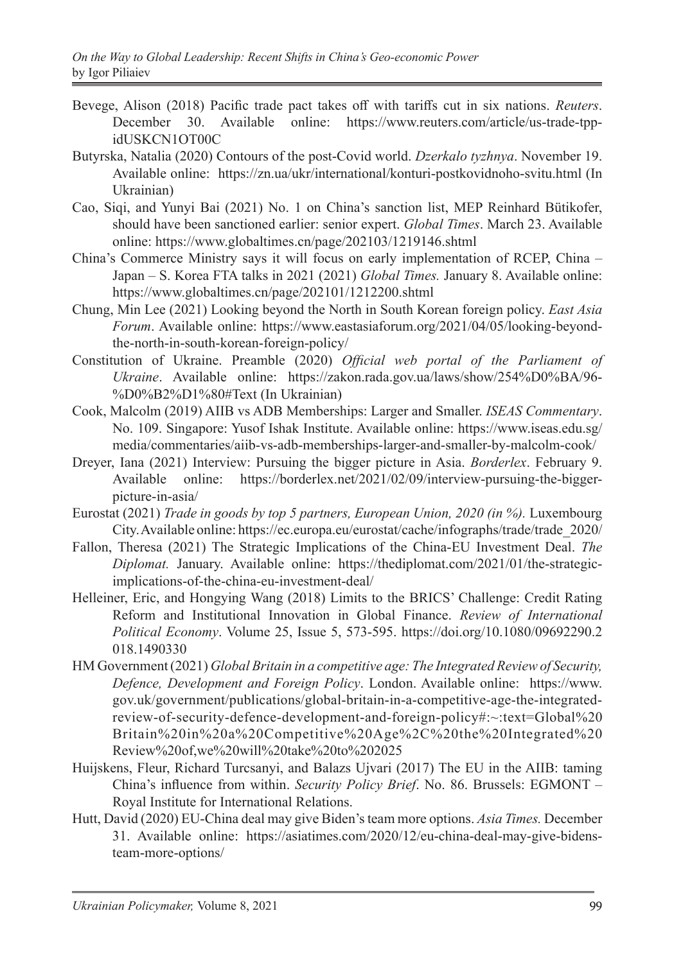- Bevege, Alison (2018) Pacific trade pact takes off with tariffs cut in six nations. *Reuters*. December 30. Available online: https://www.reuters.com/article/us-trade-tppidUSKCN1OT00C
- Butyrska, Natalia (2020) Contours of the post-Covid world. *Dzerkalo tyzhnya*. November 19. Available online: https://zn.ua/ukr/international/konturi-postkovidnoho-svitu.html (In Ukrainian)
- Cao, Siqi, and Yunyi Bai (2021) No. 1 on China's sanction list, MEP Reinhard Bütikofer, should have been sanctioned earlier: senior expert. *Global Times*. March 23. Available online: https://www.globaltimes.cn/page/202103/1219146.shtml
- China's Commerce Ministry says it will focus on early implementation of RCEP, China Japan – S. Korea FTA talks in 2021 (2021) *Global Times.* January 8. Available online: https://www.globaltimes.cn/page/202101/1212200.shtml
- Chung, Min Lee (2021) Looking beyond the North in South Korean foreign policy. *East Asia Forum*. Available online: https://www.eastasiaforum.org/2021/04/05/looking-beyondthe-north-in-south-korean-foreign-policy/
- Constitution of Ukraine. Preamble (2020) *Official web portal of the Parliament of Ukraine*. Available online: https://zakon.rada.gov.ua/laws/show/254%D0%BA/96- %D0%B2%D1%80#Text (In Ukrainian)
- Cook, Malcolm (2019) AIIB vs ADB Memberships: Larger and Smaller. *ISEAS Commentary*. No. 109. Singapore: Yusof Ishak Institute. Available online: https://www.iseas.edu.sg/ media/commentaries/aiib-vs-adb-memberships-larger-and-smaller-by-malcolm-cook/
- Dreyer, Iana (2021) Interview: Pursuing the bigger picture in Asia. *Borderlex*. February 9. Available online: https://borderlex.net/2021/02/09/interview-pursuing-the-biggerpicture-in-asia/
- Eurostat (2021) *Trade in goods by top 5 partners, European Union, 2020 (in %).* Luxembourg City. Available online: https://ec.europa.eu/eurostat/cache/infographs/trade/trade\_2020/
- Fallon, Theresa (2021) The Strategic Implications of the China-EU Investment Deal. *The Diplomat.* January. Available online: https://thediplomat.com/2021/01/the-strategicimplications-of-the-china-eu-investment-deal/
- Helleiner, Eric, and Hongying Wang (2018) Limits to the BRICS' Challenge: Credit Rating Reform and Institutional Innovation in Global Finance. *Review of International Political Economy*. Volume 25, Issue 5, 573-595. https://doi.org/10.1080/09692290.2 018.1490330
- HM Government (2021) *Global Britain in a competitive age: The Integrated Review of Security, Defence, Development and Foreign Policy*. London. Available online: https://www. gov.uk/government/publications/global-britain-in-a-competitive-age-the-integratedreview-of-security-defence-development-and-foreign-policy#:~:text=Global%20 Britain%20in%20a%20Competitive%20Age%2C%20the%20Integrated%20 Review%20of,we%20will%20take%20to%202025
- Huijskens, Fleur, Richard Turcsanyi, and Balazs Ujvari (2017) The EU in the AIIB: taming China's influence from within. *Security Policy Brief*. No. 86. Brussels: EGMONT -Royal Institute for International Relations.
- Hutt, David (2020) EU-China deal may give Biden's team more options. *Asia Times.* December 31. Available online: https://asiatimes.com/2020/12/eu-china-deal-may-give-bidensteam-more-options/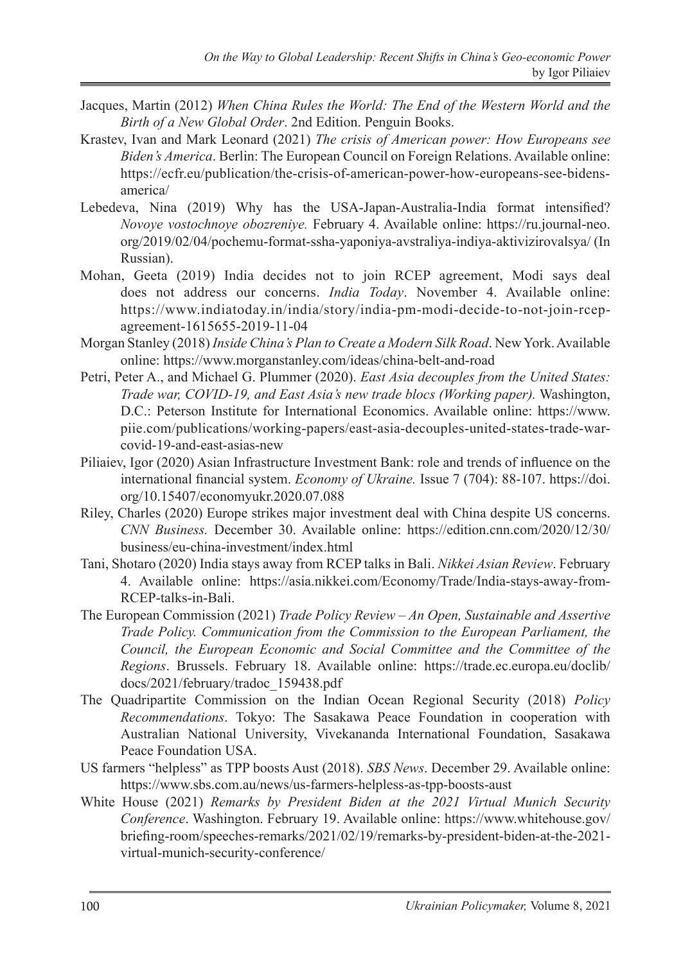- Jacques, Martin (2012) *When China Rules the World: The End of the Western World and the Birth of a New Global Order*. 2nd Edition. Penguin Books.
- Krastev, Ivan and Mark Leonard (2021) *The crisis of American power: How Europeans see Biden's America*. Berlin: The European Council on Foreign Relations. Available online: https://ecfr.eu/publication/the-crisis-of-american-power-how-europeans-see-bidensamerica/
- Lebedeva, Nina (2019) Why has the USA-Japan-Australia-India format intensified? *Novoye vostochnoye obozreniye.* February 4. Available online: https://ru.journal-neo. org/2019/02/04/pochemu-format-ssha-yaponiya-avstraliya-indiya-aktivizirovalsya/ (In Russian).
- Mohan, Geeta (2019) India decides not to join RCEP agreement, Modi says deal does not address our concerns. *India Today*. November 4. Available online: https://www.indiatoday.in/india/story/india-pm-modi-decide-to-not-join-rcepagreement-1615655-2019-11-04
- Morgan Stanley (2018) *Inside China's Plan to Create a Modern Silk Road*. New York. Available online: https://www.morganstanley.com/ideas/china-belt-and-road
- Petri, Peter A., and Michael G. Plummer (2020). *East Asia decouples from the United States: Trade war, COVID-19, and East Asia's new trade blocs (Working paper).* Washington, D.C.: Peterson Institute for International Economics. Available online: https://www. piie.com/publications/working-papers/east-asia-decouples-united-states-trade-warcovid-19-and-east-asias-new
- Piliaiev, Igor (2020) Asian Infrastructure Investment Bank: role and trends of influence on the international financial system. *Economy of Ukraine.* Issue 7 (704): 88-107. https://doi. org/10.15407/economyukr.2020.07.088
- Riley, Charles (2020) Europe strikes major investment deal with China despite US concerns. *CNN Business.* December 30. Available online: https://edition.cnn.com/2020/12/30/ business/eu-china-investment/index.html
- Tani, Shotaro (2020) India stays away from RCEP talks in Bali. *Nikkei Asian Review*. February 4. Available online: https://asia.nikkei.com/Economy/Trade/India-stays-away-from-RCEP-talks-in-Bali.
- The European Commission (2021) *Trade Policy Review An Open, Sustainable and Assertive Trade Policy. Communication from the Commission to the European Parliament, the Council, the European Economic and Social Committee and the Committee of the Regions*. Brussels. February 18. Available online: https://trade.ec.europa.eu/doclib/ docs/2021/february/tradoc\_159438.pdf
- The Quadripartite Commission on the Indian Ocean Regional Security (2018) *Policy Recommendations*. Tokyo: The Sasakawa Peace Foundation in cooperation with Australian National University, Vivekananda International Foundation, Sasakawa Peace Foundation USA.
- US farmers "helpless" as TPP boosts Aust (2018). *SBS News*. December 29. Available online: https://www.sbs.com.au/news/us-farmers-helpless-as-tpp-boosts-aust
- White House (2021) *Remarks by President Biden at the 2021 Virtual Munich Security Conference*. Washington. February 19. Available online: https://www.whitehouse.gov/ briefing-room/speeches-remarks/2021/02/19/remarks-by-president-biden-at-the-2021 virtual-munich-security-conference/